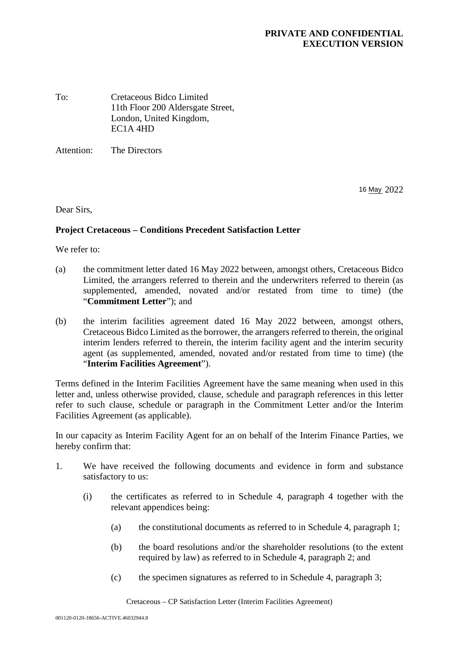## **PRIVATE AND CONFIDENTIAL EXECUTION VERSION**

To: Cretaceous Bidco Limited 11th Floor 200 Aldersgate Street, London, United Kingdom, EC1A 4HD

Attention: The Directors

16 May 2022

Dear Sirs,

## **Project Cretaceous – Conditions Precedent Satisfaction Letter**

We refer to:

- (a) the commitment letter dated 16 May 2022 between, amongst others, Cretaceous Bidco Limited, the arrangers referred to therein and the underwriters referred to therein (as supplemented, amended, novated and/or restated from time to time) (the "**Commitment Letter**"); and
- (b) the interim facilities agreement dated 16 May 2022 between, amongst others, Cretaceous Bidco Limited as the borrower, the arrangers referred to therein, the original interim lenders referred to therein, the interim facility agent and the interim security agent (as supplemented, amended, novated and/or restated from time to time) (the "**Interim Facilities Agreement**").

Terms defined in the Interim Facilities Agreement have the same meaning when used in this letter and, unless otherwise provided, clause, schedule and paragraph references in this letter refer to such clause, schedule or paragraph in the Commitment Letter and/or the Interim Facilities Agreement (as applicable).

In our capacity as Interim Facility Agent for an on behalf of the Interim Finance Parties, we hereby confirm that:

- 1. We have received the following documents and evidence in form and substance satisfactory to us:
	- (i) the certificates as referred to in Schedule 4, paragraph 4 together with the relevant appendices being:
		- (a) the constitutional documents as referred to in Schedule 4, paragraph 1;
		- (b) the board resolutions and/or the shareholder resolutions (to the extent required by law) as referred to in Schedule 4, paragraph 2; and
		- (c) the specimen signatures as referred to in Schedule 4, paragraph 3;

Cretaceous – CP Satisfaction Letter (Interim Facilities Agreement)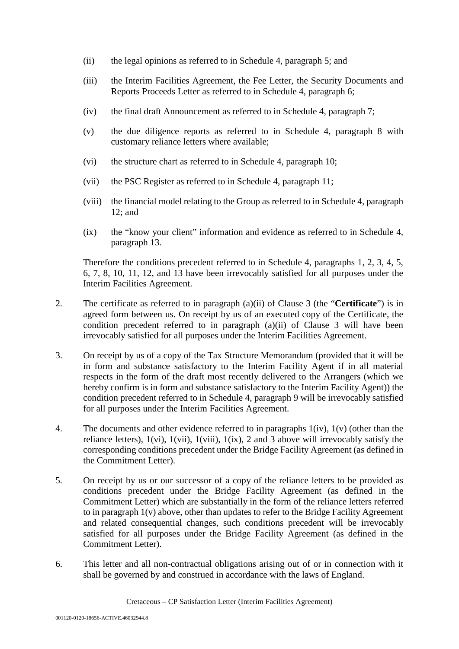- (ii) the legal opinions as referred to in Schedule 4, paragraph 5; and
- (iii) the Interim Facilities Agreement, the Fee Letter, the Security Documents and Reports Proceeds Letter as referred to in Schedule 4, paragraph 6;
- (iv) the final draft Announcement as referred to in Schedule 4, paragraph 7;
- (v) the due diligence reports as referred to in Schedule 4, paragraph 8 with customary reliance letters where available;
- (vi) the structure chart as referred to in Schedule 4, paragraph 10;
- (vii) the PSC Register as referred to in Schedule 4, paragraph 11;
- (viii) the financial model relating to the Group as referred to in Schedule 4, paragraph 12; and
- (ix) the "know your client" information and evidence as referred to in Schedule 4, paragraph 13.

Therefore the conditions precedent referred to in Schedule 4, paragraphs 1, 2, 3, 4, 5, 6, 7, 8, 10, 11, 12, and 13 have been irrevocably satisfied for all purposes under the Interim Facilities Agreement.

- 2. The certificate as referred to in paragraph (a)(ii) of Clause 3 (the "**Certificate**") is in agreed form between us. On receipt by us of an executed copy of the Certificate, the condition precedent referred to in paragraph (a)(ii) of Clause 3 will have been irrevocably satisfied for all purposes under the Interim Facilities Agreement.
- 3. On receipt by us of a copy of the Tax Structure Memorandum (provided that it will be in form and substance satisfactory to the Interim Facility Agent if in all material respects in the form of the draft most recently delivered to the Arrangers (which we hereby confirm is in form and substance satisfactory to the Interim Facility Agent)) the condition precedent referred to in Schedule 4, paragraph 9 will be irrevocably satisfied for all purposes under the Interim Facilities Agreement.
- 4. The documents and other evidence referred to in paragraphs 1(iv), 1(v) (other than the reliance letters),  $1(vi)$ ,  $1(vii)$ ,  $1(viii)$ ,  $1(ix)$ ,  $2$  and  $3$  above will irrevocably satisfy the corresponding conditions precedent under the Bridge Facility Agreement (as defined in the Commitment Letter).
- 5. On receipt by us or our successor of a copy of the reliance letters to be provided as conditions precedent under the Bridge Facility Agreement (as defined in the Commitment Letter) which are substantially in the form of the reliance letters referred to in paragraph 1(v) above, other than updates to refer to the Bridge Facility Agreement and related consequential changes, such conditions precedent will be irrevocably satisfied for all purposes under the Bridge Facility Agreement (as defined in the Commitment Letter).
- 6. This letter and all non-contractual obligations arising out of or in connection with it shall be governed by and construed in accordance with the laws of England.